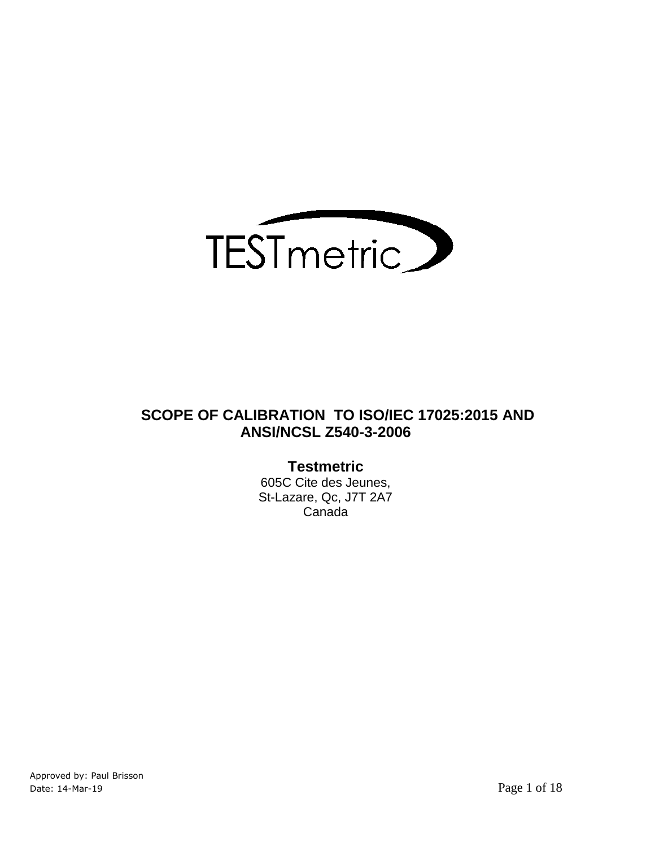

## **SCOPE OF CALIBRATION TO ISO/IEC 17025:2015 AND ANSI/NCSL Z540-3-2006**

## **Testmetric**

605C Cite des Jeunes, St-Lazare, Qc, J7T 2A7 Canada

Approved by: Paul Brisson Date: 14-Mar-19 Page 1 of 18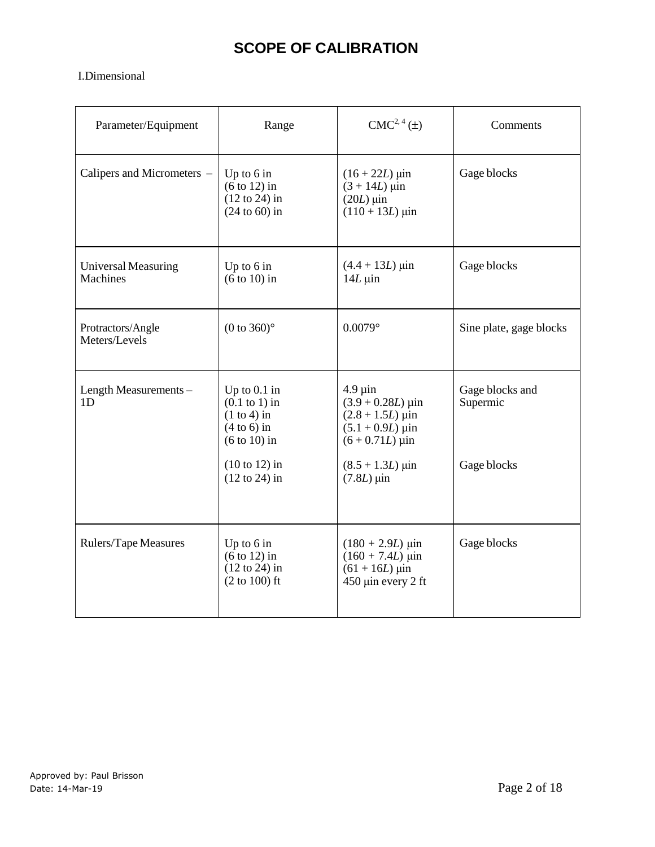# **SCOPE OF CALIBRATION**

#### I.Dimensional

| Parameter/Equipment                    | Range                                                                                  | $CMC2, 4(\pm)$                                                                                                                           | Comments                    |
|----------------------------------------|----------------------------------------------------------------------------------------|------------------------------------------------------------------------------------------------------------------------------------------|-----------------------------|
| Calipers and Micrometers -             | Up to $6$ in<br>$(6 \text{ to } 12)$ in<br>$(12 \text{ to } 24)$ in<br>$(24 to 60)$ in | $(16 + 22L) \,\mu$ in<br>$(3 + 14L)$ µin<br>$(20L)$ µin<br>$(110 + 13L)$ µin                                                             | Gage blocks                 |
| <b>Universal Measuring</b><br>Machines | Up to $6$ in<br>$(6 to 10)$ in                                                         | $(4.4 + 13L) \,\mu$ in<br>$14L \mu$ in                                                                                                   | Gage blocks                 |
| Protractors/Angle<br>Meters/Levels     | $(0 to 360)$ °                                                                         | $0.0079$ °                                                                                                                               | Sine plate, gage blocks     |
| Length Measurements -<br>1D            | Up to $0.1$ in<br>$(0.1$ to 1) in<br>$(1 to 4)$ in<br>$(4 to 6)$ in<br>$(6 to 10)$ in  | $4.9 \mu$ in<br>$(3.9 + 0.28L) \,\mu \text{in}$<br>$(2.8 + 1.5L) \,\mu \text{in}$<br>$(5.1 + 0.9L) \,\mu \text{in}$<br>$(6 + 0.71L)$ uin | Gage blocks and<br>Supermic |
|                                        | $(10 to 12)$ in<br>$(12 \text{ to } 24)$ in                                            | $(8.5 + 1.3L) \,\mu\text{in}$<br>$(7.8L)$ µin                                                                                            | Gage blocks                 |
| Rulers/Tape Measures                   | Up to $6$ in<br>$(6 \text{ to } 12)$ in<br>$(12 \text{ to } 24)$ in<br>$(2 to 100)$ ft | $(180 + 2.9L) \,\mu\text{in}$<br>$(160 + 7.4L)$ µin<br>$(61 + 16L)$ µin<br>$450 \mu$ in every 2 ft                                       | Gage blocks                 |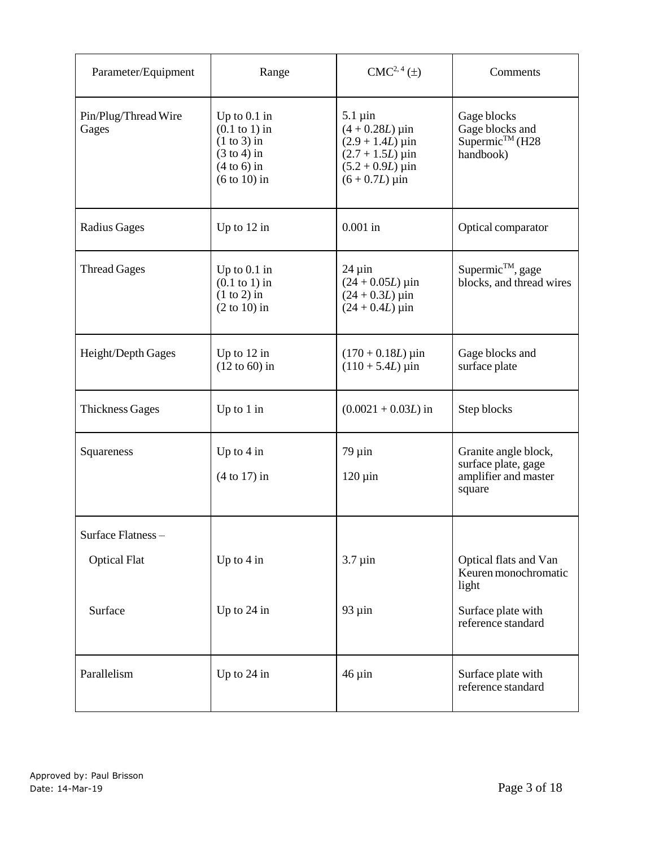| Parameter/Equipment           | Range                                                                                                                    | $CMC2, 4(\pm)$                                                                                                                                                  | Comments                                                                      |
|-------------------------------|--------------------------------------------------------------------------------------------------------------------------|-----------------------------------------------------------------------------------------------------------------------------------------------------------------|-------------------------------------------------------------------------------|
| Pin/Plug/Thread Wire<br>Gages | Up to $0.1$ in<br>$(0.1 \text{ to } 1)$ in<br>$(1 to 3)$ in<br>$(3 \text{ to } 4)$ in<br>$(4 to 6)$ in<br>$(6 to 10)$ in | $5.1 \,\mathrm{\mu}$ in<br>$(4 + 0.28L) \,\mu \text{in}$<br>$(2.9 + 1.4L)$ µin<br>$(2.7 + 1.5L)$ µin<br>$(5.2 + 0.9L) \,\mu \text{in}$<br>$(6 + 0.7L) \,\mu$ in | Gage blocks<br>Gage blocks and<br>Supermic <sup>™</sup> (H28<br>handbook)     |
| <b>Radius Gages</b>           | Up to $12$ in                                                                                                            | $0.001$ in                                                                                                                                                      | Optical comparator                                                            |
| <b>Thread Gages</b>           | Up to $0.1$ in<br>$(0.1$ to 1) in<br>$(1 to 2)$ in<br>$(2 to 10)$ in                                                     | $24 \mu$ in<br>$(24 + 0.05L) \,\mu \text{in}$<br>$(24 + 0.3L) \,\mu \text{in}$<br>$(24 + 0.4L) \,\mu \text{in}$                                                 | Supermic <sup>™</sup> , gage<br>blocks, and thread wires                      |
| Height/Depth Gages            | Up to $12$ in<br>$(12 \text{ to } 60)$ in                                                                                | $(170 + 0.18L) \,\mu \text{in}$<br>$(110 + 5.4L) \,\mu \text{in}$                                                                                               | Gage blocks and<br>surface plate                                              |
| <b>Thickness Gages</b>        | Up to $1$ in                                                                                                             | $(0.0021 + 0.03L)$ in                                                                                                                                           | Step blocks                                                                   |
| Squareness                    | Up to $4$ in<br>$(4 to 17)$ in                                                                                           | $79 \mu$ in<br>$120 \,\mu$ in                                                                                                                                   | Granite angle block,<br>surface plate, gage<br>amplifier and master<br>square |
| Surface Flatness-             |                                                                                                                          |                                                                                                                                                                 |                                                                               |
| <b>Optical Flat</b>           | Up to $4$ in                                                                                                             | $3.7 \mu$ in                                                                                                                                                    | Optical flats and Van<br>Keuren monochromatic<br>light                        |
| Surface                       | Up to 24 in                                                                                                              | $93 \mu$ in                                                                                                                                                     | Surface plate with<br>reference standard                                      |
| Parallelism                   | Up to 24 in                                                                                                              | $46 \mu$ in                                                                                                                                                     | Surface plate with<br>reference standard                                      |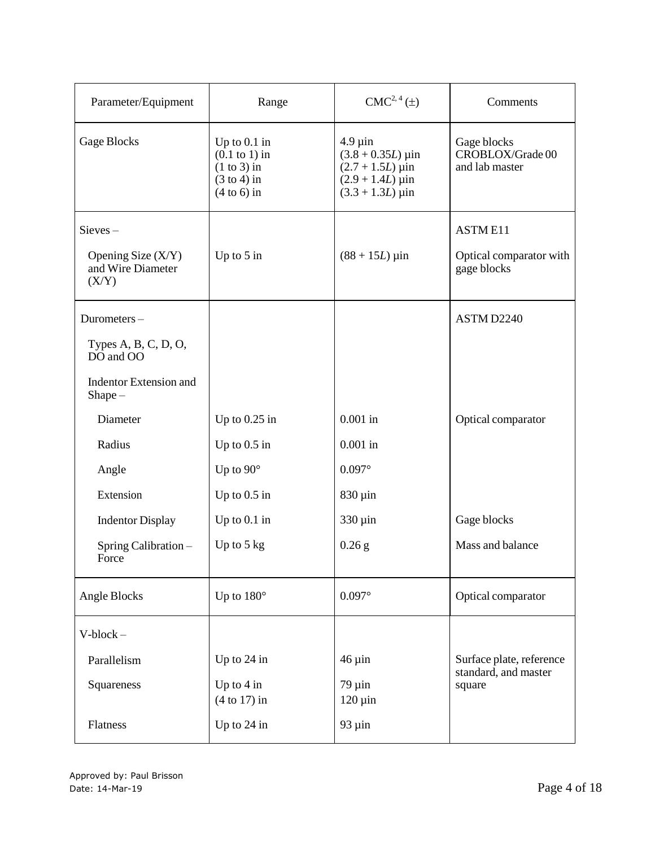| Parameter/Equipment                                | Range                                                                                         | $CMC2, 4(\pm)$                                                                                                               | Comments                                          |
|----------------------------------------------------|-----------------------------------------------------------------------------------------------|------------------------------------------------------------------------------------------------------------------------------|---------------------------------------------------|
| Gage Blocks                                        | Up to $0.1$ in<br>$(0.1$ to 1) in<br>$(1 to 3)$ in<br>$(3 \text{ to } 4)$ in<br>$(4 to 6)$ in | $4.9 \mu$ in<br>$(3.8 + 0.35L) \,\mu\text{in}$<br>$(2.7 + 1.5L)$ µin<br>$(2.9 + 1.4L)$ µin<br>$(3.3 + 1.3L) \,\mu \text{in}$ | Gage blocks<br>CROBLOX/Grade 00<br>and lab master |
| $Sieves -$                                         |                                                                                               |                                                                                                                              | <b>ASTME11</b>                                    |
| Opening Size $(X/Y)$<br>and Wire Diameter<br>(X/Y) | Up to $5$ in                                                                                  | $(88 + 15L) \,\mu \text{in}$                                                                                                 | Optical comparator with<br>gage blocks            |
| Durometers-                                        |                                                                                               |                                                                                                                              | ASTM D2240                                        |
| Types $A, B, C, D, O,$<br>DO and OO                |                                                                                               |                                                                                                                              |                                                   |
| <b>Indentor Extension and</b><br>$Shape -$         |                                                                                               |                                                                                                                              |                                                   |
| Diameter                                           | Up to $0.25$ in                                                                               | $0.001$ in                                                                                                                   | Optical comparator                                |
| Radius                                             | Up to $0.5$ in                                                                                | $0.001$ in                                                                                                                   |                                                   |
| Angle                                              | Up to $90^\circ$                                                                              | $0.097^\circ$                                                                                                                |                                                   |
| Extension                                          | Up to $0.5$ in                                                                                | $830 \,\mu$ in                                                                                                               |                                                   |
| <b>Indentor Display</b>                            | Up to $0.1$ in                                                                                | 330 µin                                                                                                                      | Gage blocks                                       |
| Spring Calibration-<br>Force                       | Up to $5 \text{ kg}$                                                                          | $0.26$ g                                                                                                                     | Mass and balance                                  |
| Angle Blocks                                       | Up to $180^\circ$                                                                             | $0.097^\circ$                                                                                                                | Optical comparator                                |
| $V-block -$                                        |                                                                                               |                                                                                                                              |                                                   |
| Parallelism                                        | Up to 24 in                                                                                   | $46 \mu$ in                                                                                                                  | Surface plate, reference                          |
| Squareness                                         | Up to $4$ in<br>$(4 to 17)$ in                                                                | $79 \mu$ in<br>$120 \,\mu \text{in}$                                                                                         | standard, and master<br>square                    |
| Flatness                                           | Up to $24$ in                                                                                 | $93 \mu$ in                                                                                                                  |                                                   |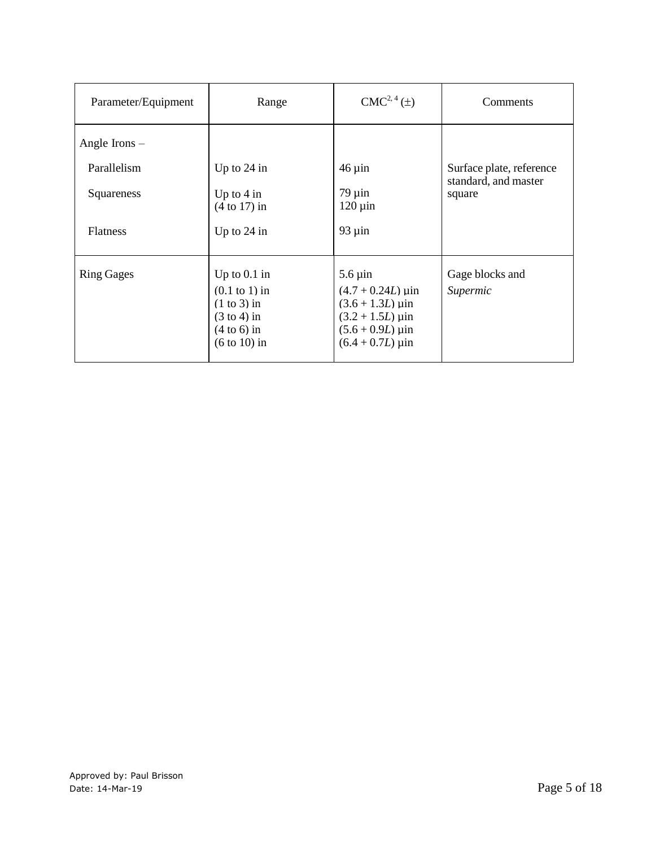| Parameter/Equipment | Range                                                                                                           | $CMC2, 4(\pm)$                                                                                                                              | Comments                       |
|---------------------|-----------------------------------------------------------------------------------------------------------------|---------------------------------------------------------------------------------------------------------------------------------------------|--------------------------------|
| Angle Irons $-$     |                                                                                                                 |                                                                                                                                             |                                |
| Parallelism         | Up to 24 in                                                                                                     | $46 \mu$ in                                                                                                                                 | Surface plate, reference       |
| Squareness          | Up to $4 \text{ in}$<br>$(4 to 17)$ in                                                                          | $79 \mu$ in<br>$120 \,\mathrm{\mu}$ in                                                                                                      | standard, and master<br>square |
| <b>Flatness</b>     | Up to $24$ in                                                                                                   | $93 \mu$ in                                                                                                                                 |                                |
| <b>Ring Gages</b>   | Up to $0.1$ in<br>$(0.1$ to 1) in<br>$(1 to 3)$ in<br>$(3 \text{ to } 4)$ in<br>$(4 to 6)$ in<br>$(6 to 10)$ in | $5.6 \,\mathrm{\mu}$ in<br>$(4.7 + 0.24L) \,\mu$ in<br>$(3.6 + 1.3L)$ uin<br>$(3.2 + 1.5L)$ µin<br>$(5.6 + 0.9L)$ uin<br>$(6.4 + 0.7L)$ µin | Gage blocks and<br>Supermic    |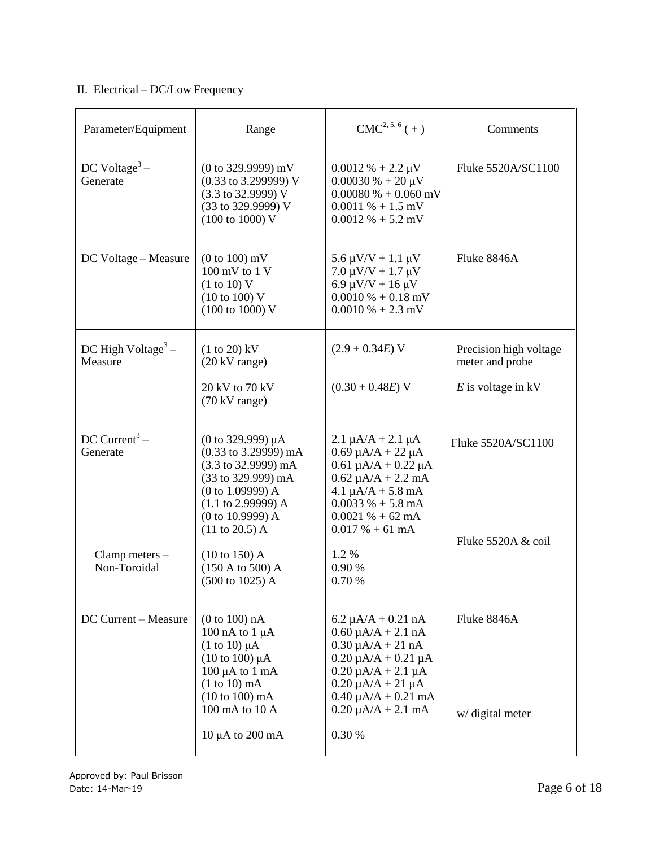### II. Electrical – DC/Low Frequency

| Parameter/Equipment                                                       | Range                                                                                                                                                                                                                                                                                                        | $CMC2, 5, 6(\pm)$                                                                                                                                                                                                                                                  | Comments                                                          |
|---------------------------------------------------------------------------|--------------------------------------------------------------------------------------------------------------------------------------------------------------------------------------------------------------------------------------------------------------------------------------------------------------|--------------------------------------------------------------------------------------------------------------------------------------------------------------------------------------------------------------------------------------------------------------------|-------------------------------------------------------------------|
| DC Voltage <sup>3</sup> –<br>Generate                                     | $(0 \text{ to } 329.9999) \text{ mV}$<br>$(0.33 \text{ to } 3.299999) \text{ V}$<br>(3.3 to 32.9999) V<br>(33 to 329.9999) V<br>$(100 \text{ to } 1000) \text{ V}$                                                                                                                                           | $0.0012 \% + 2.2 \mu V$<br>$0.00030\% + 20 \mu V$<br>$0.00080\% + 0.060$ mV<br>$0.0011\% + 1.5$ mV<br>$0.0012\% + 5.2$ mV                                                                                                                                          | Fluke 5520A/SC1100                                                |
| DC Voltage - Measure                                                      | $(0 to 100)$ mV<br>100 mV to 1 V<br>(1 to 10) V<br>(10 to 100) V<br>$(100 \text{ to } 1000) \text{ V}$                                                                                                                                                                                                       | $5.6 \mu V/V + 1.1 \mu V$<br>$7.0 \mu V/V + 1.7 \mu V$<br>$6.9 \mu V/V + 16 \mu V$<br>$0.0010\% + 0.18$ mV<br>$0.0010\% + 2.3$ mV                                                                                                                                  | Fluke 8846A                                                       |
| DC High Voltage $3-$<br>Measure                                           | $(1 to 20)$ kV<br>$(20 \text{ kV range})$<br>20 kV to 70 kV<br>(70 kV range)                                                                                                                                                                                                                                 | $(2.9 + 0.34E)$ V<br>$(0.30 + 0.48E)$ V                                                                                                                                                                                                                            | Precision high voltage<br>meter and probe<br>$E$ is voltage in kV |
| DC Current <sup>3</sup> –<br>Generate<br>Clamp meters $-$<br>Non-Toroidal | $(0 \text{ to } 329.999) \mu A$<br>(0.33 to 3.29999) mA<br>$(3.3 \text{ to } 32.9999) \text{ mA}$<br>(33 to 329.999) mA<br>(0 to 1.09999) A<br>$(1.1$ to 2.99999) A<br>(0 to 10.9999) A<br>$(11 \text{ to } 20.5)$ A<br>$(10 to 150)$ A<br>$(150 \text{ A to } 500) \text{ A}$<br>$(500 \text{ to } 1025)$ A | $2.1 \mu A/A + 2.1 \mu A$<br>$0.69 \mu A/A + 22 \mu A$<br>$0.61 \mu A/A + 0.22 \mu A$<br>$0.62 \mu A/A + 2.2 \mu A$<br>$4.1 \mu A/A + 5.8 \text{ mA}$<br>$0.0033\% + 5.8 \text{ mA}$<br>$0.0021\% + 62 \text{ mA}$<br>$0.017% + 61$ mA<br>1.2%<br>0.90 %<br>0.70 % | Fluke 5520A/SC1100<br>Fluke 5520A & coil                          |
| DC Current - Measure                                                      | (0 to 100) nA<br>100 nA to $1 \mu$ A<br>$(1 \text{ to } 10) \mu A$<br>$(10 \text{ to } 100) \mu A$<br>$100 \mu A$ to $1 \text{ mA}$<br>$(1 to 10)$ mA<br>$(10 to 100)$ mA<br>100 mA to 10 A<br>$10 \mu A$ to $200 \text{ mA}$                                                                                | $6.2 \mu A/A + 0.21 nA$<br>$0.60 \mu A/A + 2.1 \text{ nA}$<br>$0.30 \mu A/A + 21 nA$<br>$0.20 \mu A/A + 0.21 \mu A$<br>$0.20 \mu A/A + 2.1 \mu A$<br>$0.20 \mu A/A + 21 \mu A$<br>$0.40 \mu A/A + 0.21 \text{ mA}$<br>$0.20 \mu A/A + 2.1 \text{ mA}$<br>0.30 %    | Fluke 8846A<br>w/ digital meter                                   |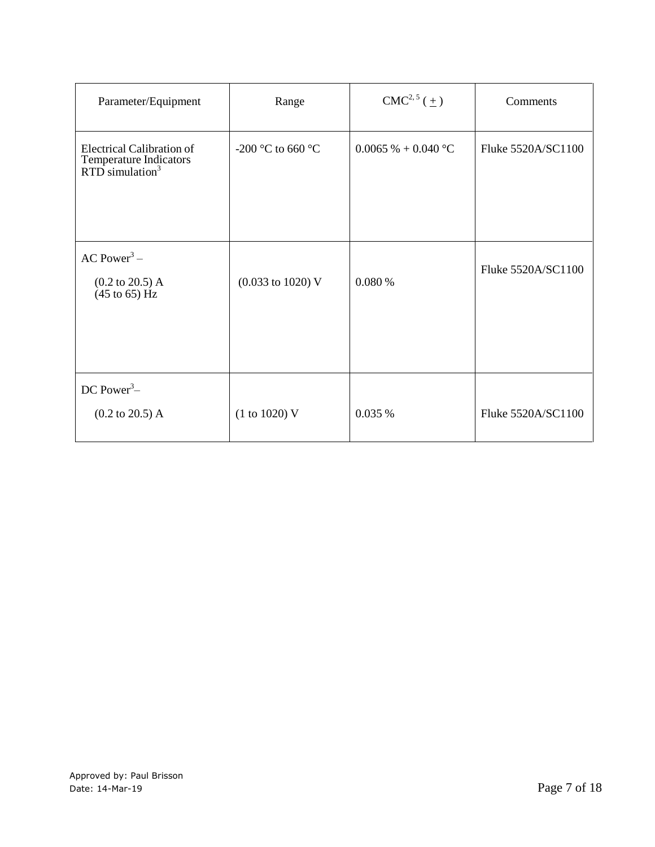| Parameter/Equipment                                                                       | Range                                | $CMC2,5(\pm)$               | Comments           |
|-------------------------------------------------------------------------------------------|--------------------------------------|-----------------------------|--------------------|
| <b>Electrical Calibration of</b><br>Temperature Indicators<br>RTD simulation <sup>3</sup> | -200 °C to 660 °C                    | $0.0065\% + 0.040\degree C$ | Fluke 5520A/SC1100 |
| AC Power <sup>3</sup> –<br>$(0.2 \text{ to } 20.5) \text{ A}$<br>$(45 \text{ to } 65)$ Hz | $(0.033 \text{ to } 1020) \text{ V}$ | 0.080%                      | Fluke 5520A/SC1100 |
| DC Power <sup>3</sup> $-$<br>$(0.2 \text{ to } 20.5) \text{ A}$                           | (1 to 1020) V                        | 0.035 %                     | Fluke 5520A/SC1100 |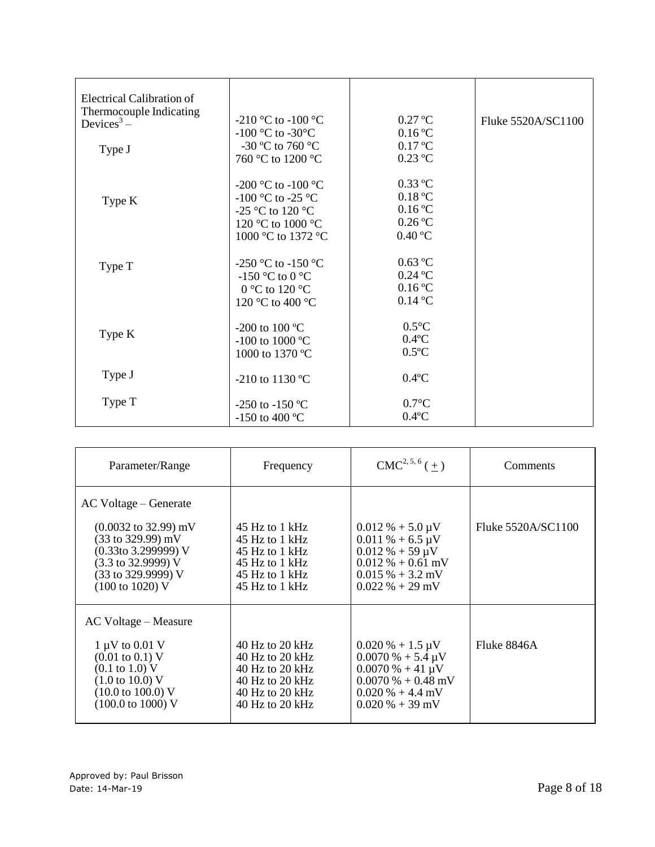| Electrical Calibration of<br>Thermocouple Indicating<br>Devices <sup>3</sup> –<br>Type J | -210 °C to -100 °C<br>$-100$ °C to $-30$ °C<br>-30 °C to 760 °C<br>760 °C to 1200 °C                   | $0.27$ °C<br>0.16 °C<br>$0.17 \text{ °C}$<br>$0.23$ °C                           | Fluke 5520A/SC1100 |
|------------------------------------------------------------------------------------------|--------------------------------------------------------------------------------------------------------|----------------------------------------------------------------------------------|--------------------|
| Type K                                                                                   | -200 °C to -100 °C<br>-100 °C to -25 °C<br>-25 °C to 120 °C<br>120 °C to 1000 °C<br>1000 °C to 1372 °C | $0.33$ °C<br>0.18 °C<br>$0.16\text{ °C}$<br>$0.26\text{ °C}$<br>$0.40\text{ °C}$ |                    |
| Type T                                                                                   | -250 °C to -150 °C<br>-150 °C to 0 °C<br>0 °C to 120 °C<br>120 °C to 400 °C                            | $0.63$ °C<br>$0.24$ °C<br>$0.16\text{ °C}$<br>$0.14$ °C                          |                    |
| Type K                                                                                   | -200 to 100 $^{\circ}$ C<br>-100 to 1000 $^{\circ}$ C<br>1000 to 1370 °C                               | $0.5^{\circ}C$<br>$0.4$ °C<br>$0.5^{\circ}$ C                                    |                    |
| Type J                                                                                   | -210 to 1130 °C                                                                                        | $0.4$ °C                                                                         |                    |
| Type T                                                                                   | -250 to -150 °C<br>-150 to 400 °C                                                                      | $0.7$ °C<br>$0.4$ °C                                                             |                    |

| Parameter/Range                                                                                                                                                                                                                    | Frequency                                                                                                                            | $CMC2, 5, 6(+)$                                                                                                                                             | Comments           |
|------------------------------------------------------------------------------------------------------------------------------------------------------------------------------------------------------------------------------------|--------------------------------------------------------------------------------------------------------------------------------------|-------------------------------------------------------------------------------------------------------------------------------------------------------------|--------------------|
| AC Voltage – Generate<br>$(0.0032 \text{ to } 32.99) \text{ mV}$<br>$(33 \text{ to } 329.99) \text{ mV}$<br>$(0.33$ to 3.299999) V<br>$(3.3 \text{ to } 32.9999)$ V<br>$(33 \text{ to } 329.9999)$ V<br>$(100 \text{ to } 1020)$ V | 45 Hz to 1 kHz<br>45 Hz to 1 kHz<br>45 Hz to 1 kHz<br>45 Hz to 1 kHz<br>45 Hz to 1 kHz<br>45 Hz to 1 kHz                             | $0.012\% + 5.0 \,\mu\text{V}$<br>$0.011\% + 6.5 \,\mu\text{V}$<br>$0.012\% + 59 \mu V$<br>$0.012\% + 0.61$ mV<br>$0.015\% + 3.2$ mV<br>$0.022 \% + 29$ mV   | Fluke 5520A/SC1100 |
| AC Voltage – Measure<br>$1 \mu V$ to 0.01 V<br>$(0.01 \text{ to } 0.1) \text{ V}$<br>$(0.1 \text{ to } 1.0)$ V<br>$(1.0 \text{ to } 10.0) \text{ V}$<br>$(10.0 \text{ to } 100.0)$ V<br>$(100.0 \text{ to } 1000) \text{ V}$       | $40$ Hz to $20$ kHz<br>$40$ Hz to $20$ kHz<br>40 Hz to $20$ kHz<br>$40$ Hz to $20$ kHz<br>$40$ Hz to $20$ kHz<br>$40$ Hz to $20$ kHz | $0.020\% + 1.5 \,\mu\text{V}$<br>$0.0070\% + 5.4 \,\mu\text{V}$<br>$0.0070\% + 41 \mu V$<br>$0.0070\% + 0.48$ mV<br>$0.020\% + 4.4$ mV<br>$0.020\% + 39$ mV | Fluke 8846A        |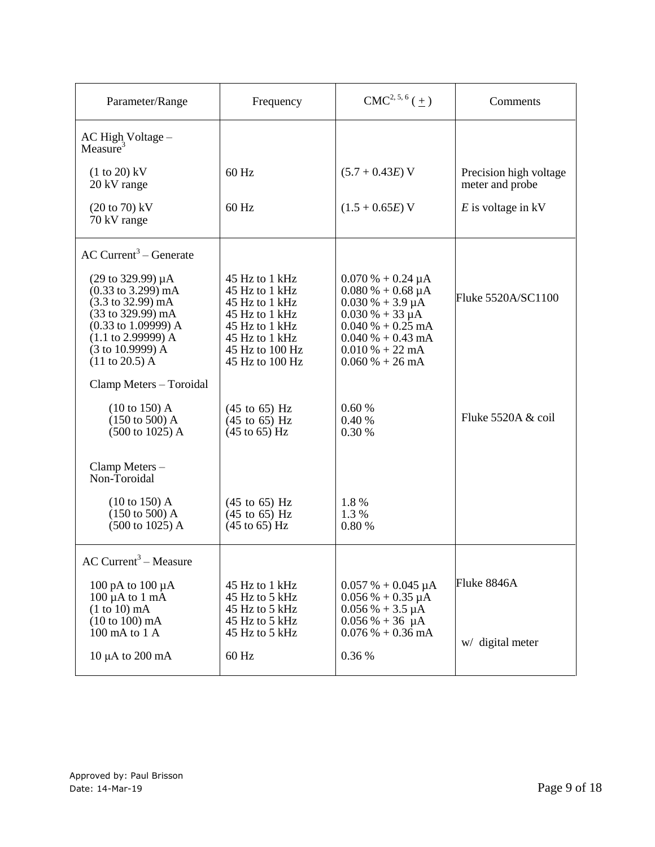| Parameter/Range                                                                                                                                                                                                                                          | Frequency                                                                                                                                      | $CMC2, 5, 6(\pm)$                                                                                                                                                                                                          | Comments                                  |
|----------------------------------------------------------------------------------------------------------------------------------------------------------------------------------------------------------------------------------------------------------|------------------------------------------------------------------------------------------------------------------------------------------------|----------------------------------------------------------------------------------------------------------------------------------------------------------------------------------------------------------------------------|-------------------------------------------|
| AC High Voltage -<br>Measure $3$                                                                                                                                                                                                                         |                                                                                                                                                |                                                                                                                                                                                                                            |                                           |
| $(1 to 20)$ kV<br>20 kV range                                                                                                                                                                                                                            | 60 Hz                                                                                                                                          | $(5.7 + 0.43E)$ V                                                                                                                                                                                                          | Precision high voltage<br>meter and probe |
| $(20 \text{ to } 70) \text{ kV}$<br>70 kV range                                                                                                                                                                                                          | 60 Hz                                                                                                                                          | $(1.5 + 0.65E)$ V                                                                                                                                                                                                          | $E$ is voltage in kV                      |
| $AC$ Current <sup>3</sup> – Generate                                                                                                                                                                                                                     |                                                                                                                                                |                                                                                                                                                                                                                            |                                           |
| $(29 \text{ to } 329.99) \mu A$<br>$(0.33 \text{ to } 3.299) \text{ mA}$<br>$(3.3 \text{ to } 32.99) \text{ mA}$<br>(33 to 329.99) mA<br>$(0.33 \text{ to } 1.09999) \text{ A}$<br>$(1.1$ to 2.99999) A<br>(3 to 10.9999) A<br>$(11 \text{ to } 20.5)$ A | 45 Hz to 1 kHz<br>45 Hz to 1 kHz<br>45 Hz to 1 kHz<br>45 Hz to 1 kHz<br>45 Hz to 1 kHz<br>45 Hz to 1 kHz<br>45 Hz to 100 Hz<br>45 Hz to 100 Hz | $0.070\% + 0.24 \mu A$<br>$0.080\% + 0.68\,\mu A$<br>$0.030\% + 3.9 \mu A$<br>$0.030\% + 33 \mu A$<br>$0.040\% + 0.25 \text{ mA}$<br>$0.040\% + 0.43 \text{ mA}$<br>$0.010\% + 22 \text{ mA}$<br>$0.060\% + 26 \text{ mA}$ | Fluke 5520A/SC1100                        |
| Clamp Meters - Toroidal                                                                                                                                                                                                                                  |                                                                                                                                                |                                                                                                                                                                                                                            |                                           |
| $(10 \text{ to } 150)$ A<br>$(150 \text{ to } 500)$ A<br>$(500 \text{ to } 1025)$ A                                                                                                                                                                      | $(45 \text{ to } 65) \text{ Hz}$<br>$(45 \text{ to } 65)$ Hz<br>$(45$ to 65) Hz                                                                | 0.60%<br>0.40 %<br>0.30 %                                                                                                                                                                                                  | Fluke 5520A & coil                        |
| Clamp Meters-<br>Non-Toroidal                                                                                                                                                                                                                            |                                                                                                                                                |                                                                                                                                                                                                                            |                                           |
| $(10 \text{ to } 150)$ A<br>$(150 \text{ to } 500)$ A<br>$(500 \text{ to } 1025)$ A                                                                                                                                                                      | $(45 \text{ to } 65) \text{ Hz}$<br>$(45$ to 65) Hz<br>$(45 \text{ to } 65)$ Hz                                                                | 1.8%<br>1.3%<br>0.80 %                                                                                                                                                                                                     |                                           |
| $AC$ Current <sup>3</sup> – Measure                                                                                                                                                                                                                      |                                                                                                                                                |                                                                                                                                                                                                                            |                                           |
| 100 pA to 100 μA<br>$100 \mu A$ to $1 \text{ mA}$<br>$(1 to 10)$ mA                                                                                                                                                                                      | 45 Hz to 1 kHz<br>45 Hz to 5 kHz<br>45 Hz to 5 kHz                                                                                             | $0.057 \% + 0.045 \mu A$<br>$0.056\% + 0.35 \mu A$<br>$0.056\% + 3.5 \mu A$                                                                                                                                                | Fluke 8846A                               |
| $(10 to 100)$ mA<br>100 mA to 1 A                                                                                                                                                                                                                        | 45 Hz to 5 kHz<br>45 Hz to 5 kHz                                                                                                               | $0.056\% + 36\mu A$<br>$0.076\% + 0.36$ mA                                                                                                                                                                                 | w/ digital meter                          |
| $10 \mu A$ to $200 \text{ mA}$                                                                                                                                                                                                                           | $60$ Hz                                                                                                                                        | 0.36 %                                                                                                                                                                                                                     |                                           |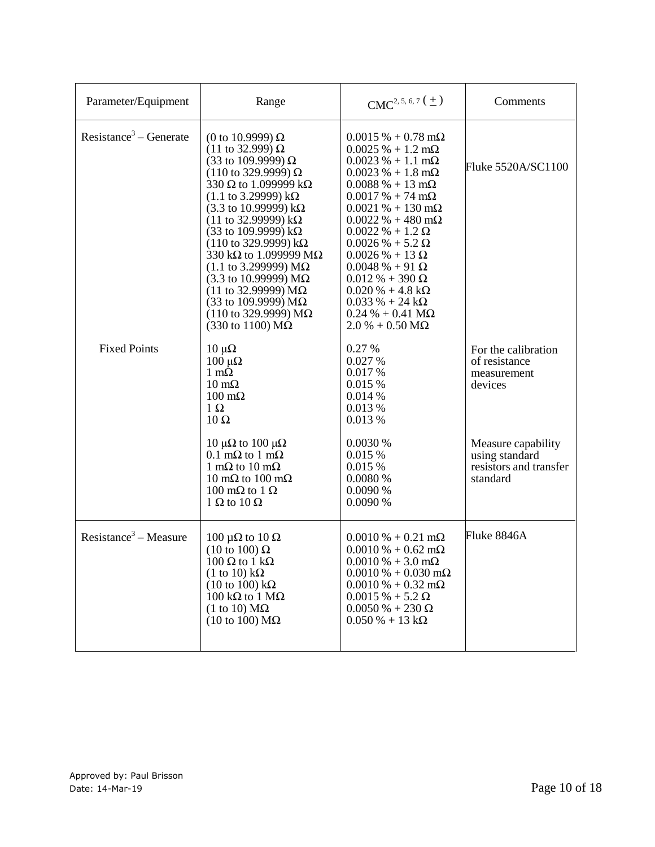| Parameter/Equipment                | Range                                                                                                                                                                                                                                                                                                                                                                                                                                                                                                                                                                                               | $CMC2, 5, 6, 7$ ( $\pm$ )                                                                                                                                                                                                                                                                                                                                                                                                                                                                                                    | Comments                                                                   |
|------------------------------------|-----------------------------------------------------------------------------------------------------------------------------------------------------------------------------------------------------------------------------------------------------------------------------------------------------------------------------------------------------------------------------------------------------------------------------------------------------------------------------------------------------------------------------------------------------------------------------------------------------|------------------------------------------------------------------------------------------------------------------------------------------------------------------------------------------------------------------------------------------------------------------------------------------------------------------------------------------------------------------------------------------------------------------------------------------------------------------------------------------------------------------------------|----------------------------------------------------------------------------|
| Resistance <sup>3</sup> – Generate | (0 to 10.9999) Ω<br>$(11$ to 32.999) Ω<br>(33 to 109.9999) Ω<br>$(110 \text{ to } 329.9999) \Omega$<br>330 $\Omega$ to 1.099999 k $\Omega$<br>$(1.1 \text{ to } 3.29999) \text{ k}\Omega$<br>$(3.3 \text{ to } 10.99999) \text{ k}\Omega$<br>$(11$ to 32.99999) kΩ<br>(33 to 109.9999) $k\Omega$<br>$(110 \text{ to } 329.9999) \text{ k}\Omega$<br>330 k $\Omega$ to 1.099999 M $\Omega$<br>$(1.1 \text{ to } 3.299999) \text{ M}\Omega$<br>(3.3 to 10.99999) $M\Omega$<br>(11 to 32.99999) $MΩ$<br>(33 to 109.9999) $M\Omega$<br>(110 to 329.9999) ΜΩ<br>$(330 \text{ to } 1100) \text{ M}\Omega$ | $0.0015% + 0.78$ m $\Omega$<br>$0.0025\% + 1.2 \text{ m}\Omega$<br>$0.0023 % + 1.1 mΩ$<br>$0.0023\% + 1.8 \text{ m}\Omega$<br>$0.0088\% + 13 \text{ mA}$<br>$0.0017\% + 74 \text{ m}\Omega$<br>$0.0021\% + 130 \text{ m}\Omega$<br>$0.0022\% + 480 \text{ m}\Omega$<br>$0.0022\% + 1.2\Omega$<br>$0.0026\% + 5.2\Omega$<br>$0.0026 % + 13 Ω$<br>$0.0048~\%$ + 91 $\Omega$<br>$0.012\% + 390\Omega$<br>$0.020\% + 4.8 \text{ k}\Omega$<br>$0.033\% + 24 k\Omega$<br>$0.24 % + 0.41 M\Omega$<br>$2.0\% + 0.50\,\text{M}\Omega$ | Fluke 5520A/SC1100                                                         |
| <b>Fixed Points</b>                | $10 \mu\Omega$<br>$100 \mu\Omega$<br>$1 \text{ m}\Omega$<br>$10 \text{ mA}$<br>$100 \text{ m}\Omega$<br>$1 \Omega$<br>$10 \Omega$                                                                                                                                                                                                                                                                                                                                                                                                                                                                   | 0.27 %<br>0.027 %<br>0.017 %<br>0.015 %<br>0.014%<br>0.013 %<br>0.013 %                                                                                                                                                                                                                                                                                                                                                                                                                                                      | For the calibration<br>of resistance<br>measurement<br>devices             |
|                                    | 10 μ $\Omega$ to 100 μ $\Omega$<br>$0.1 \text{ m}\Omega$ to 1 m $\Omega$<br>1 m $\Omega$ to 10 m $\Omega$<br>10 m $\Omega$ to 100 m $\Omega$<br>100 m $\Omega$ to 1 $\Omega$<br>1 $\Omega$ to 10 $\Omega$                                                                                                                                                                                                                                                                                                                                                                                           | 0.0030%<br>0.015 %<br>0.015 %<br>0.0080 %<br>0.0090 %<br>0.0090 %                                                                                                                                                                                                                                                                                                                                                                                                                                                            | Measure capability<br>using standard<br>resistors and transfer<br>standard |
| Resistance <sup>3</sup> – Measure  | 100 μ $\Omega$ to 10 $\Omega$<br>$(10 \text{ to } 100) \Omega$<br>$100$ Ω to 1 kΩ<br>$(1 \text{ to } 10) \text{ k}\Omega$<br>$(10 \text{ to } 100) \text{ k}\Omega$<br>$100 \text{ k}\Omega$ to $1 \text{ M}\Omega$<br>$(1 \text{ to } 10) \text{ M}\Omega$<br>$(10 \text{ to } 100) \text{ M}\Omega$                                                                                                                                                                                                                                                                                               | $0.0010\% + 0.21 \text{ m}\Omega$<br>$0.0010\% + 0.62 \text{ m}\Omega$<br>$0.0010\% + 3.0 \text{ mA}$<br>$0.0010\% + 0.030\,\text{m}\Omega$<br>$0.0010\% + 0.32 \text{ m}\Omega$<br>$0.0015\% + 5.2\Omega$<br>$0.0050\% + 230\,\Omega$<br>$0.050\% + 13 k\Omega$                                                                                                                                                                                                                                                             | Fluke 8846A                                                                |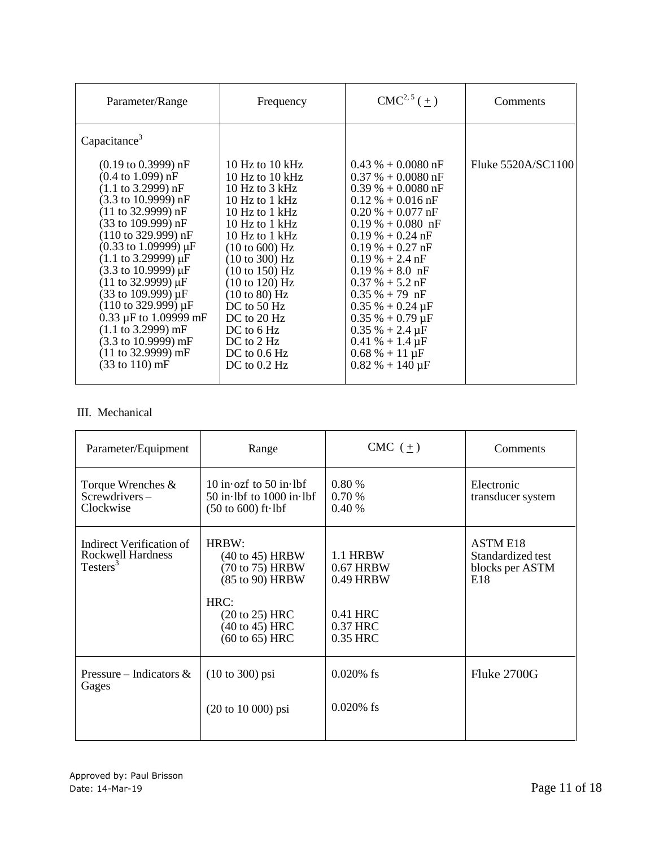| Parameter/Range                                                                                                                                                                                                                                                                                                                                                                                                                                                                                                                                                                                                                                                                               | Frequency                                                                                                                                                                                                                                                                                                                                                                      | $CMC2, 5(\pm)$                                                                                                                                                                                                                                                                                                                                                                                                                       | <b>Comments</b>    |
|-----------------------------------------------------------------------------------------------------------------------------------------------------------------------------------------------------------------------------------------------------------------------------------------------------------------------------------------------------------------------------------------------------------------------------------------------------------------------------------------------------------------------------------------------------------------------------------------------------------------------------------------------------------------------------------------------|--------------------------------------------------------------------------------------------------------------------------------------------------------------------------------------------------------------------------------------------------------------------------------------------------------------------------------------------------------------------------------|--------------------------------------------------------------------------------------------------------------------------------------------------------------------------------------------------------------------------------------------------------------------------------------------------------------------------------------------------------------------------------------------------------------------------------------|--------------------|
| Capacitance <sup>3</sup>                                                                                                                                                                                                                                                                                                                                                                                                                                                                                                                                                                                                                                                                      |                                                                                                                                                                                                                                                                                                                                                                                |                                                                                                                                                                                                                                                                                                                                                                                                                                      |                    |
| $(0.19 \text{ to } 0.3999) \text{ nF}$<br>$(0.4 \text{ to } 1.099) \text{ nF}$<br>$(1.1 \text{ to } 3.2999) \text{ nF}$<br>$(3.3 \text{ to } 10.9999) \text{ nF}$<br>$(11 \text{ to } 32.9999) \text{ nF}$<br>(33 to 109.999) nF<br>$(110 \text{ to } 329.999) \text{ nF}$<br>$(0.33 \text{ to } 1.09999) \mu F$<br>$(1.1 \text{ to } 3.29999) \mu F$<br>$(3.3 \text{ to } 10.9999) \,\mu\text{F}$<br>$(11 \text{ to } 32.9999) \mu F$<br>$(33 \text{ to } 109.999) \mu F$<br>$(110 \text{ to } 329.999) \mu F$<br>0.33 $\mu$ F to 1.09999 mF<br>$(1.1 \text{ to } 3.2999) \text{ mF}$<br>$(3.3 \text{ to } 10.9999) \text{ mF}$<br>$(11 to 32.9999)$ mF<br>$(33 \text{ to } 110) \text{ mF}$ | 10 Hz to $10 \text{ kHz}$<br>10 Hz to $10 \text{ kHz}$<br>10 Hz to $3$ kHz<br>$10$ Hz to 1 kHz<br>$10$ Hz to 1 kHz<br>10 Hz to $1$ kHz<br>10 Hz to $1$ kHz<br>$(10 \text{ to } 600) \text{ Hz}$<br>(10 to 300) Hz<br>(10 to 150) Hz<br>(10 to 120) Hz<br>(10 to 80) Hz<br>DC to $50$ Hz<br>$DC$ to 20 Hz<br>DC to $6$ Hz<br>$DC$ to $2$ Hz<br>DC to $0.6$ Hz<br>DC to $0.2$ Hz | $0.43\% + 0.0080$ nF<br>$0.37\% + 0.0080$ nF<br>$0.39\% + 0.0080$ nF<br>$0.12\% + 0.016$ nF<br>$0.20\% + 0.077$ nF<br>$0.19\% + 0.080$ nF<br>$0.19\% + 0.24$ nF<br>$0.19% + 0.27$ nF<br>$0.19\% + 2.4$ nF<br>$0.19\% + 8.0$ nF<br>$0.37\% + 5.2$ nF<br>$0.35\% + 79$ nF<br>$0.35\% + 0.24 \,\mu F$<br>$0.35\% + 0.79 \,\mu F$<br>$0.35\% + 2.4 \,\mu F$<br>$0.41\% + 1.4 \,\mu F$<br>$0.68\% + 11 \,\mu F$<br>$0.82\% + 140 \,\mu F$ | Fluke 5520A/SC1100 |

### III. Mechanical

| Parameter/Equipment                                                          | Range                                                                                                                                                         | CMC $(\pm)$                                                              | Comments                                                       |
|------------------------------------------------------------------------------|---------------------------------------------------------------------------------------------------------------------------------------------------------------|--------------------------------------------------------------------------|----------------------------------------------------------------|
| Torque Wrenches $\&$<br>$S$ crewdrivers –<br>Clockwise                       | 10 in $ozf$ to 50 in lbf<br>$50$ in lbf to $1000$ in lbf<br>$(50 \text{ to } 600)$ ft $\cdot$ lbf                                                             | 0.80%<br>0.70%<br>0.40%                                                  | Electronic<br>transducer system                                |
| Indirect Verification of<br><b>Rockwell Hardness</b><br>Testers <sup>3</sup> | HRBW:<br>$(40 \text{ to } 45)$ HRBW<br>(70 to 75) HRBW<br>(85 to 90) HRBW<br>HRC:<br>$(20 \text{ to } 25)$ HRC<br>(40 to 45) HRC<br>$(60 \text{ to } 65)$ HRC | 1.1 HRBW<br>$0.67$ HRBW<br>0.49 HRBW<br>0.41 HRC<br>0.37 HRC<br>0.35 HRC | <b>ASTM E18</b><br>Standardized test<br>blocks per ASTM<br>E18 |
| Pressure – Indicators $\&$<br>Gages                                          | $(10 to 300)$ psi<br>$(20 \text{ to } 10\,000) \text{ psi}$                                                                                                   | $0.020\%$ fs<br>$0.020\%$ fs                                             | Fluke 2700G                                                    |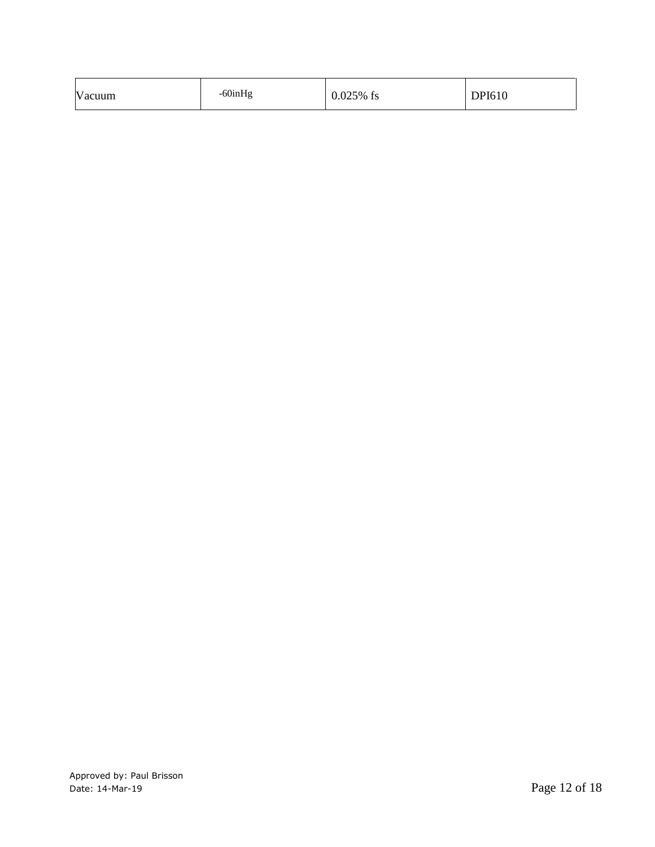| -60inHg<br>Vacuum | $0.025%$ fs | DPI610 |
|-------------------|-------------|--------|
|-------------------|-------------|--------|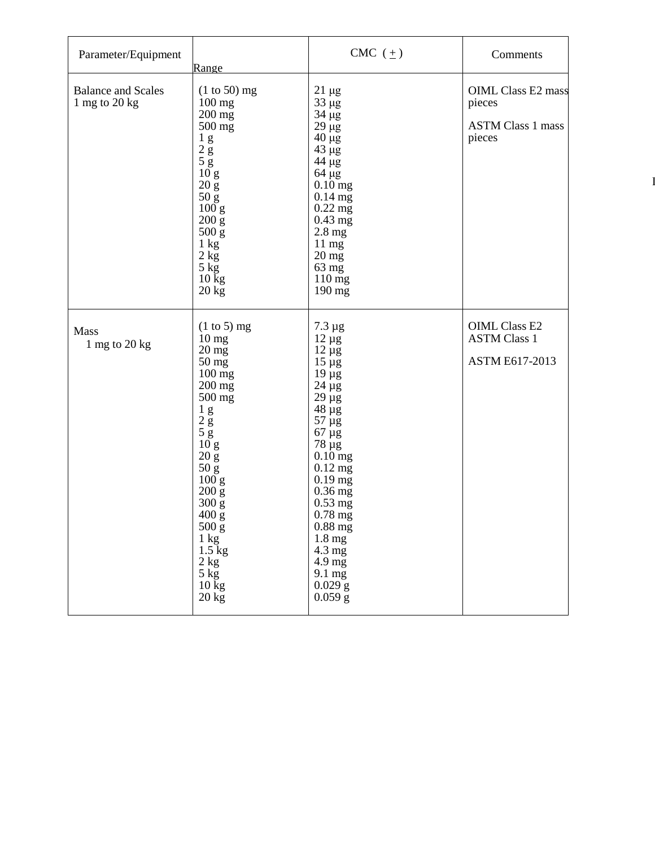| Parameter/Equipment                          | Range                                                                                                                                                                                                                                                                                                                                                                       | CMC $(\pm)$                                                                                                                                                                                                                                                                                                                             | Comments                                                                  |
|----------------------------------------------|-----------------------------------------------------------------------------------------------------------------------------------------------------------------------------------------------------------------------------------------------------------------------------------------------------------------------------------------------------------------------------|-----------------------------------------------------------------------------------------------------------------------------------------------------------------------------------------------------------------------------------------------------------------------------------------------------------------------------------------|---------------------------------------------------------------------------|
| <b>Balance and Scales</b><br>1 mg to $20$ kg | $(1 to 50)$ mg<br>$100$ mg<br>200 mg<br>500 mg<br>$\begin{array}{c} 1 & g \\ 2 & g \\ 5 & g \\ 10 & g \\ 20 & 5 \end{array}$<br>$20\,\mathrm{g}$<br>$\begin{array}{c} 50 \text{ g} \\ 100 \text{ g} \end{array}$<br>$200 \text{ g}$<br>500 g<br>1 kg<br>$2 \text{ kg}$<br>$5 \text{ kg}$<br>$10$ kg<br>$20 \text{ kg}$                                                      | $21 \mu g$<br>$33 \mu g$<br>34 µg<br>$29 \mu g$<br>$40 \mu g$<br>$43 \mu g$<br>44 µg<br>$64 \mu g$<br>$0.10$ mg<br>$0.14$ mg<br>$0.22$ mg<br>$0.43$ mg<br>$2.8$ mg<br>$11 \text{ mg}$<br>$20$ mg<br>63 mg<br>$110$ mg<br>190 mg                                                                                                         | <b>OIML Class E2 mass</b><br>pieces<br><b>ASTM Class 1 mass</b><br>pieces |
| Mass<br>$1$ mg to $20$ kg                    | $(1 \text{ to } 5)$ mg<br>10 <sub>mg</sub><br>$20$ mg<br>$50 \text{ mg}$<br>$100$ mg<br>200 mg<br>500 mg<br>$\frac{1}{2}$ g<br>$\frac{1}{5}$ g<br>$\frac{10}{2}$ g<br>$20\:{\rm g}$<br>$\frac{50 \text{ g}}{100 \text{ g}}$<br>200 g<br>300 g<br>$400\ \mathrm{g}$<br>$500\ \mathrm{g}$<br>$1 \text{ kg}$<br>$1.5 \text{ kg}$<br>2 kg<br>$5 \text{ kg}$<br>$10$ kg<br>20 kg | $7.3 \mu g$<br>$12 \mu g$<br>$12 \mu g$<br>$15 \mu g$<br>$19 \mu g$<br>$24 \mu g$<br>$29 \mu g$<br>$48 \mu g$<br>$57 \mu g$<br>$67 \mu g$<br>$78 \mu g$<br>$0.10$ mg<br>$0.12$ mg<br>$0.19$ mg<br>$0.36$ mg<br>$0.53$ mg<br>$0.78~\mathrm{mg}$<br>$0.88$ mg<br>1.8 mg<br>4.3 mg<br>4.9 mg<br>$9.1 \text{ mg}$<br>$0.029$ g<br>$0.059$ g | <b>OIML Class E2</b><br><b>ASTM Class 1</b><br>ASTM E617-2013             |

IV. Ther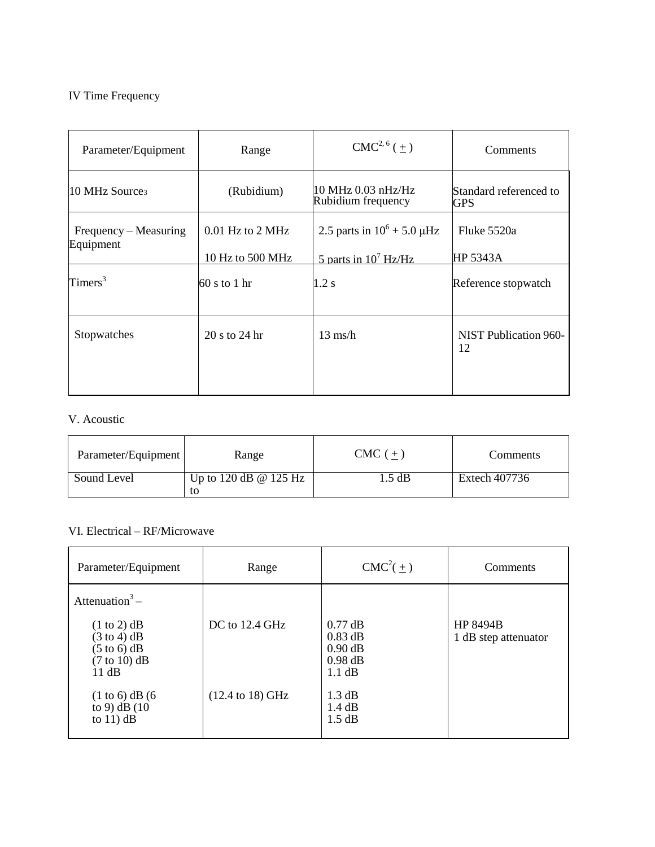### IV Time Frequency

| Parameter/Equipment                | Range                                    | $CMC2, 6(+)$                                                | <b>Comments</b>                    |
|------------------------------------|------------------------------------------|-------------------------------------------------------------|------------------------------------|
| 10 MHz Source <sub>3</sub>         | (Rubidium)                               | 10 MHz 0.03 nHz/Hz<br>Rubidium frequency                    | Standard referenced to<br>GPS      |
| Frequency – Measuring<br>Equipment | $0.01$ Hz to $2$ MHz<br>10 Hz to 500 MHz | 2.5 parts in $10^6 + 5.0 \mu$ Hz<br>5 parts in $10^7$ Hz/Hz | Fluke 5520a<br>HP 5343A            |
| $T$ imers <sup>3</sup>             | $60 s$ to 1 hr                           | 1.2 s                                                       | Reference stopwatch                |
| Stopwatches                        | 20 s to 24 hr                            | $13 \text{ ms/h}$                                           | <b>NIST Publication 960-</b><br>12 |

# V. Acoustic

| Parameter/Equipment | Range                              | $CMC (+)$ | Comments      |
|---------------------|------------------------------------|-----------|---------------|
| Sound Level         | Up to 120 dB $\omega$ 125 Hz<br>to | 1.5 dB    | Extech 407736 |

## VI. Electrical – RF/Microwave

 $\frac{4}{\sqrt{2}}$ 

| Parameter/Equipment                                                                                                                          | Range                               | $CMC^2(\pm)$                                               | Comments                                |
|----------------------------------------------------------------------------------------------------------------------------------------------|-------------------------------------|------------------------------------------------------------|-----------------------------------------|
| Attenuation <sup>3</sup> –<br>$(1 \text{ to } 2)$ dB<br>$(3 \text{ to } 4)$ dB<br>$(5 \text{ to } 6)$ dB<br>$(7 \text{ to } 10)$ dB<br>11 dB | $DC$ to 12.4 GHz                    | $0.77$ dB<br>$0.83$ dB<br>$0.90$ dB<br>$0.98$ dB<br>1.1 dB | <b>HP 8494B</b><br>1 dB step attenuator |
| $(1 to 6)$ dB $(6)$<br>to 9) $dB(10)$<br>to $11$ ) dB                                                                                        | $(12.4 \text{ to } 18) \text{ GHz}$ | $1.3 \text{ dB}$<br>$1.4 \text{ dB}$<br>1.5 dB             |                                         |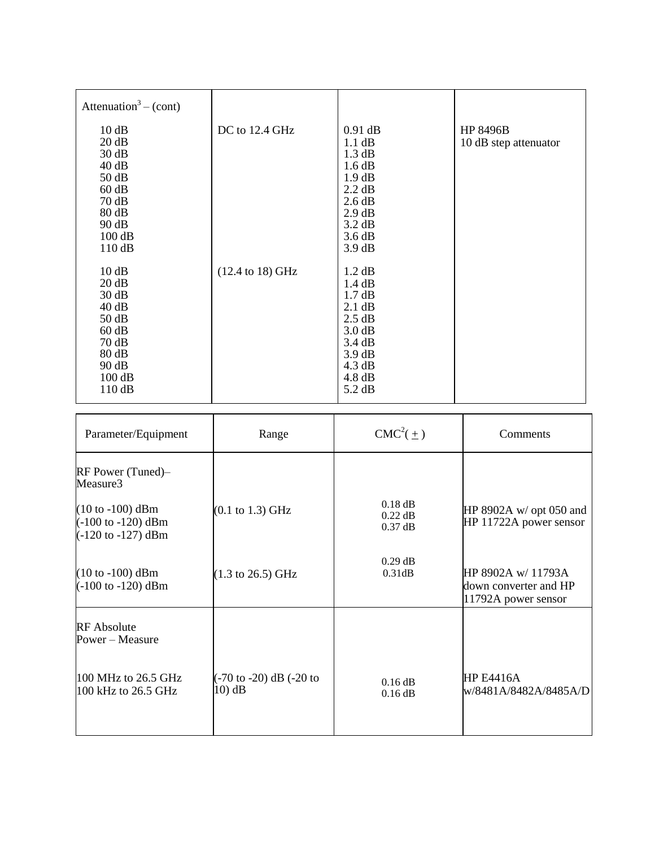| Attenuation <sup>3</sup> – (cont)                                                                |                                     |                                                                                                                      |                                          |
|--------------------------------------------------------------------------------------------------|-------------------------------------|----------------------------------------------------------------------------------------------------------------------|------------------------------------------|
| 10 dB<br>20 dB<br>30 dB<br>40 dB<br>50 dB<br>60 dB<br>70dB<br>80 dB<br>90 dB<br>100 dB<br>110 dB | DC to 12.4 GHz                      | $0.91$ dB<br>1.1 dB<br>1.3 dB<br>1.6 dB<br>1.9 dB<br>2.2 dB<br>2.6 dB<br>2.9 dB<br>3.2 dB<br>3.6 dB<br>3.9 dB        | <b>HP 8496B</b><br>10 dB step attenuator |
| 10dB<br>20 dB<br>30 dB<br>40 dB<br>50 dB<br>60 dB<br>70dB<br>80 dB<br>90 dB<br>100 dB<br>110dB   | $(12.4 \text{ to } 18) \text{ GHz}$ | 1.2 dB<br>1.4 dB<br>1.7 dB<br>2.1 dB<br>2.5 dB<br>3.0 dB<br>3.4 dB<br>3.9 dB<br>4.3 dB<br>$4.8 \text{ dB}$<br>5.2 dB |                                          |

| Parameter/Equipment                                                                                  | Range                                                             | $CMC2(+)$                           | Comments                                                           |
|------------------------------------------------------------------------------------------------------|-------------------------------------------------------------------|-------------------------------------|--------------------------------------------------------------------|
| $RF$ Power (Tuned)–<br>Measure3                                                                      |                                                                   |                                     |                                                                    |
| $(10 to -100)$ dBm<br>$(-100 \text{ to } -120) \text{ dBm}$<br>$(-120 \text{ to } -127) \text{ dBm}$ | $(0.1 \text{ to } 1.3) \text{ GHz}$                               | $0.18$ dB<br>$0.22$ dB<br>$0.37$ dB | HP 8902A $w$ opt 050 and<br>HP 11722A power sensor                 |
| $(10 to -100)$ dBm<br>$(-100 \text{ to } -120) \text{ dBm}$                                          | $(1.3 \text{ to } 26.5) \text{ GHz}$                              | $0.29$ dB<br>0.31dB                 | HP 8902A w/ 11793A<br>down converter and HP<br>11792A power sensor |
| <b>RF</b> Absolute<br>Power - Measure                                                                |                                                                   |                                     |                                                                    |
| 100 MHz to 26.5 GHz<br>100 kHz to 26.5 GHz                                                           | $(-70 \text{ to } -20) \text{ dB}$ $(-20 \text{ to }$<br>$10)$ dB | 0.16 dB<br>$0.16$ dB                | <b>HP E4416A</b><br>w/8481A/8482A/8485A/D                          |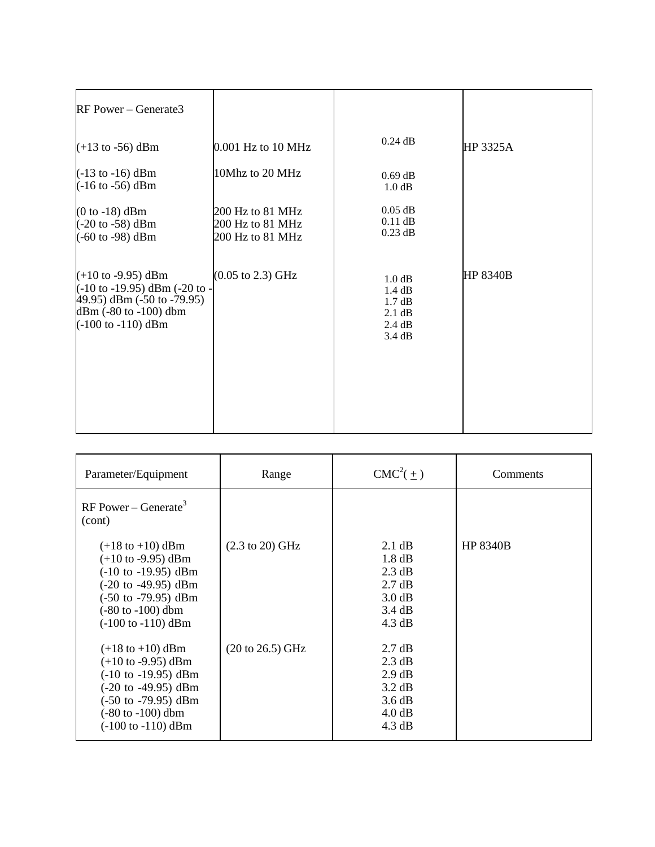| RF Power – Generate3                                                                                                                                                                                      |                                                          |                                                                              |                 |
|-----------------------------------------------------------------------------------------------------------------------------------------------------------------------------------------------------------|----------------------------------------------------------|------------------------------------------------------------------------------|-----------------|
| $(+13 \text{ to } -56) \text{ dBm}$                                                                                                                                                                       | 0.001 Hz to 10 MHz                                       | $0.24$ dB                                                                    | HP 3325A        |
| $(-13 \text{ to } -16) \text{ dBm}$<br>$(-16 \text{ to } -56) \text{ dBm}$                                                                                                                                | 10Mhz to 20 MHz                                          | $0.69$ dB<br>1.0 dB                                                          |                 |
| $(0 to -18)$ dBm<br>$(-20 \text{ to } -58) \text{ dBm}$<br>$(-60 \text{ to } -98) \text{ dBm}$                                                                                                            | 200 Hz to 81 MHz<br>200 Hz to 81 MHz<br>200 Hz to 81 MHz | $0.05$ dB<br>$0.11$ dB<br>$0.23$ dB                                          |                 |
| $(+10 \text{ to } -9.95) \text{ dBm}$<br>$(-10 \text{ to } -19.95)$ dBm $(-20 \text{ to } -19.95)$<br>$(49.95)$ dBm $(-50$ to $-79.95)$<br>dBm (-80 to -100) dbm<br>$(-100 \text{ to } -110) \text{ dBm}$ | $(0.05 \text{ to } 2.3) \text{ GHz}$                     | 1.0 dB<br>1.4 dB<br>$1.7 \text{ dB}$<br>$2.1 \text{ dB}$<br>2.4 dB<br>3.4 dB | <b>HP 8340B</b> |

| Parameter/Equipment                                                                                                                                                                                                                                                      | Range                               | $CMC^2(\pm)$                                                                                                                   | Comments        |
|--------------------------------------------------------------------------------------------------------------------------------------------------------------------------------------------------------------------------------------------------------------------------|-------------------------------------|--------------------------------------------------------------------------------------------------------------------------------|-----------------|
| $RF Power - Generate^3$<br>(cont)                                                                                                                                                                                                                                        |                                     |                                                                                                                                |                 |
| $(+18 \text{ to } +10) \text{ dBm}$<br>$(+10 \text{ to } -9.95) \text{ dBm}$<br>$(-10 \text{ to } -19.95) \text{ dBm}$<br>(-20 to -49.95) dBm<br>$(-50 \text{ to } -79.95) \text{ dBm}$<br>$(-80 \text{ to } -100) \text{ dbm}$<br>$(-100 \text{ to } -110) \text{ dBm}$ | $(2.3 \text{ to } 20) \text{ GHz}$  | $2.1 \text{ dB}$<br>1.8 dB<br>$2.3 \text{ dB}$<br>$2.7 \text{ dB}$<br>3.0 dB<br>$3.4 \text{ dB}$<br>$4.3 \text{ dB}$           | <b>HP 8340B</b> |
| $(+18 \text{ to } +10) \text{ dBm}$<br>$(+10 \text{ to } -9.95) \text{ dBm}$<br>$(-10 \text{ to } -19.95) \text{ dBm}$<br>$(-20 \text{ to } -49.95) \text{ dBm}$<br>$(-50 \text{ to } -79.95) \text{ dBm}$<br>(-80 to -100) dbm<br>$(-100 \text{ to } -110) \text{ dBm}$ | $(20 \text{ to } 26.5) \text{ GHz}$ | $2.7 \text{ dB}$<br>$2.3 \text{ dB}$<br>$2.9 \text{ dB}$<br>$3.2 \text{ dB}$<br>3.6 dB<br>$4.0 \text{ dB}$<br>$4.3 \text{ dB}$ |                 |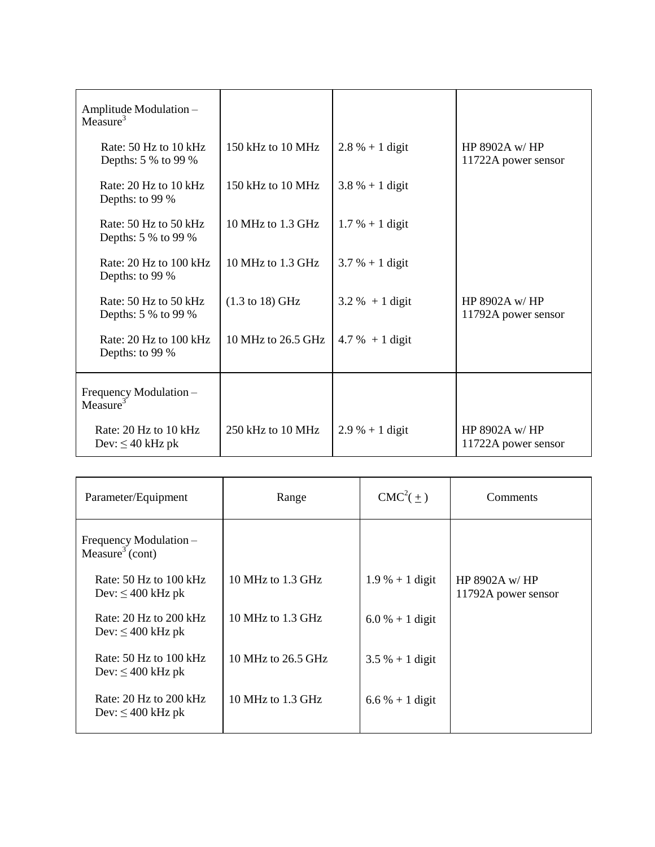| Amplitude Modulation-<br>Measure <sup>3</sup>  |                                    |                    |                                      |
|------------------------------------------------|------------------------------------|--------------------|--------------------------------------|
| Rate: 50 Hz to 10 kHz<br>Depths: 5 % to 99 %   | 150 kHz to 10 MHz                  | $2.8 \% + 1$ digit | HP 8902A w/HP<br>11722A power sensor |
| Rate: $20$ Hz to $10$ kHz<br>Depths: to 99 %   | 150 kHz to $10 \text{ MHz}$        | $3.8 \% + 1$ digit |                                      |
| Rate: 50 Hz to 50 kHz<br>Depths: 5 % to 99 %   | 10 MHz to 1.3 GHz                  | $1.7 % + 1 digit$  |                                      |
| Rate: 20 Hz to 100 kHz<br>Depths: to 99 %      | 10 MHz to 1.3 GHz                  | $3.7% + 1$ digit   |                                      |
| Rate: 50 Hz to 50 kHz<br>Depths: 5 % to 99 %   | $(1.3 \text{ to } 18) \text{ GHz}$ | $3.2 \% + 1$ digit | HP 8902A w/HP<br>11792A power sensor |
| Rate: 20 Hz to 100 kHz<br>Depths: to 99 %      | 10 MHz to 26.5 GHz                 | $4.7 \% + 1$ digit |                                      |
| Frequency Modulation-<br>Measure <sup>3</sup>  |                                    |                    |                                      |
| Rate: 20 Hz to 10 kHz<br>Dev: $\leq 40$ kHz pk | 250 kHz to 10 MHz                  | $2.9 % + 1 digit$  | HP 8902A w/HP<br>11722A power sensor |

| Parameter/Equipment                                   | Range               | $CMC2(+)$          | Comments                                |
|-------------------------------------------------------|---------------------|--------------------|-----------------------------------------|
| Frequency Modulation -<br>Measure <sup>3</sup> (cont) |                     |                    |                                         |
| Rate: $50$ Hz to $100$ kHz<br>Dev: $\leq 400$ kHz pk  | 10 MHz to $1.3$ GHz | $1.9 \% + 1$ digit | HP 8902A $w$ /HP<br>11792A power sensor |
| Rate: $20$ Hz to $200$ kHz<br>Dev: $\leq 400$ kHz pk  | 10 MHz to $1.3$ GHz | $6.0 % + 1$ digit  |                                         |
| Rate: $50$ Hz to $100$ kHz<br>Dev: $\leq 400$ kHz pk  | 10 MHz to 26.5 GHz  | $3.5 \% + 1$ digit |                                         |
| Rate: $20$ Hz to $200$ kHz<br>Dev: $\leq 400$ kHz pk  | 10 MHz to $1.3$ GHz | $6.6\% + 1$ digit  |                                         |